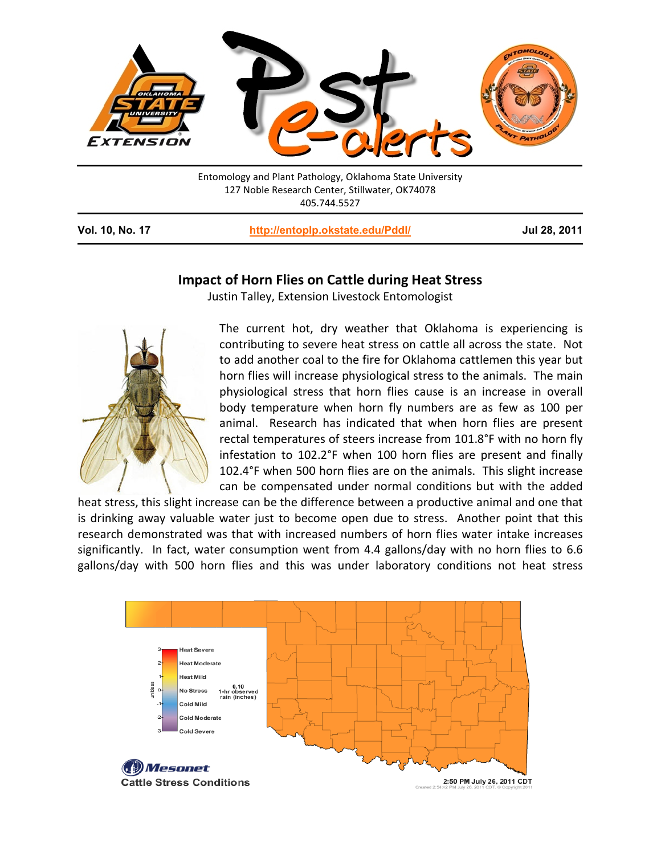

405.744.5527

**Vol. 10, No. 17 <http://entoplp.okstate.edu/Pddl/> Jul 28, 2011**

## **Impact of Horn Flies on Cattle during Heat Stress**

Justin Talley, Extension Livestock Entomologist



The current hot, dry weather that Oklahoma is experiencing is contributing to severe heat stress on cattle all across the state. Not to add another coal to the fire for Oklahoma cattlemen this year but horn flies will increase physiological stress to the animals. The main physiological stress that horn flies cause is an increase in overall body temperature when horn fly numbers are as few as 100 per animal. Research has indicated that when horn flies are present rectal temperatures of steers increase from 101.8°F with no horn fly infestation to 102.2°F when 100 horn flies are present and finally 102.4°F when 500 horn flies are on the animals. This slight increase can be compensated under normal conditions but with the added

heat stress, this slight increase can be the difference between a productive animal and one that is drinking away valuable water just to become open due to stress. Another point that this research demonstrated was that with increased numbers of horn flies water intake increases significantly. In fact, water consumption went from 4.4 gallons/day with no horn flies to 6.6 gallons/day with 500 horn flies and this was under laboratory conditions not heat stress

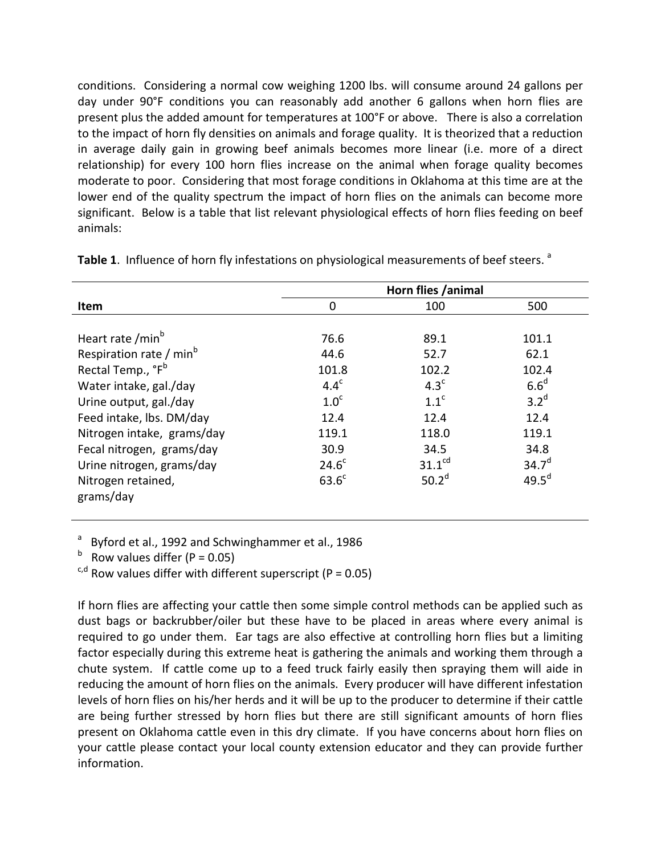conditions. Considering a normal cow weighing 1200 lbs. will consume around 24 gallons per day under 90°F conditions you can reasonably add another 6 gallons when horn flies are present plus the added amount for temperatures at 100°F or above. There is also a correlation to the impact of horn fly densities on animals and forage quality. It is theorized that a reduction in average daily gain in growing beef animals becomes more linear (i.e. more of a direct relationship) for every 100 horn flies increase on the animal when forage quality becomes moderate to poor. Considering that most forage conditions in Oklahoma at this time are at the lower end of the quality spectrum the impact of horn flies on the animals can become more significant. Below is a table that list relevant physiological effects of horn flies feeding on beef animals:

|                                                | Horn flies /animal |                   |  |
|------------------------------------------------|--------------------|-------------------|--|
| Item<br>0                                      | 100                | 500               |  |
|                                                |                    |                   |  |
| Heart rate /min <sup>b</sup><br>76.6           | 89.1               | 101.1             |  |
| Respiration rate / min <sup>b</sup><br>44.6    | 52.7               | 62.1              |  |
| Rectal Temp., °F <sup>b</sup><br>101.8         | 102.2              | 102.4             |  |
| $4.4^c$<br>Water intake, gal./day              | 4.3 <sup>c</sup>   | 6.6 <sup>d</sup>  |  |
| 1.0 <sup>c</sup><br>Urine output, gal./day     | 1.1 <sup>c</sup>   | 3.2 <sup>d</sup>  |  |
| Feed intake, lbs. DM/day<br>12.4               | 12.4               | 12.4              |  |
| Nitrogen intake, grams/day<br>119.1            | 118.0              | 119.1             |  |
| Fecal nitrogen, grams/day<br>30.9              | 34.5               | 34.8              |  |
| 24.6 <sup>c</sup><br>Urine nitrogen, grams/day | 31.1 <sup>cd</sup> | $34.7^{d}$        |  |
| $63.6^c$<br>Nitrogen retained,<br>grams/day    | 50.2 <sup>d</sup>  | 49.5 <sup>d</sup> |  |

Table 1. Influence of horn fly infestations on physiological measurements of beef steers.<sup>a</sup>

<sup>a</sup> Byford et al., 1992 and Schwinghammer et al., 1986

 $b$  Row values differ (P = 0.05)

 $c, d$  Row values differ with different superscript (P = 0.05)

If horn flies are affecting your cattle then some simple control methods can be applied such as dust bags or backrubber/oiler but these have to be placed in areas where every animal is required to go under them. Ear tags are also effective at controlling horn flies but a limiting factor especially during this extreme heat is gathering the animals and working them through a chute system. If cattle come up to a feed truck fairly easily then spraying them will aide in reducing the amount of horn flies on the animals. Every producer will have different infestation levels of horn flies on his/her herds and it will be up to the producer to determine if their cattle are being further stressed by horn flies but there are still significant amounts of horn flies present on Oklahoma cattle even in this dry climate. If you have concerns about horn flies on your cattle please contact your local county extension educator and they can provide further information.